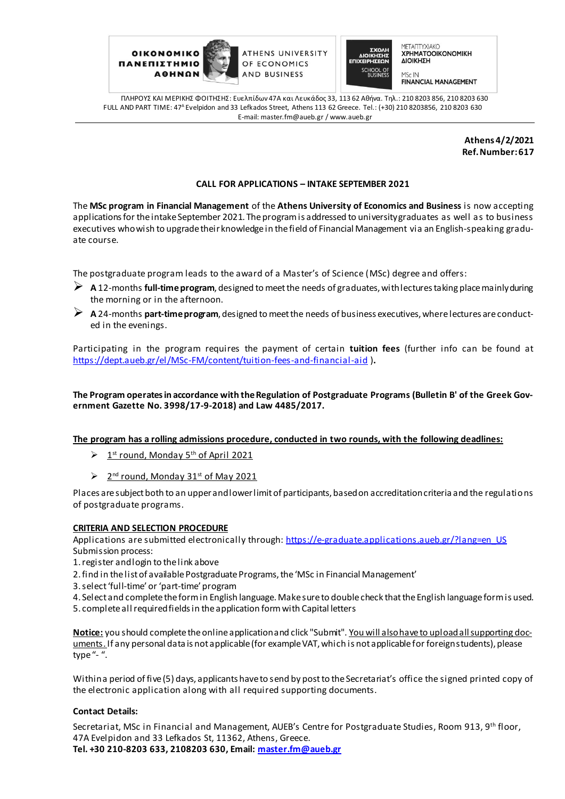

ATHENS UNIVERSITY OF ECONOMICS AND BUSINESS



ΜΕΤΑΠΤΥΧΙΑΚΟ **XPHMATOOIKONOMIKH** ΔΙΟΙΚΗΣΗ

**FINANCIAL MANAGEMENT** 

ΠΛΗΡΟΥΣ ΚΑΙ ΜΕΡΙΚΗΣ ΦΟΙΤΗΣΗΣ: Ευελπίδων 47A και Λευκάδος 33, 113 62 Αθήνα. Tηλ.: 210 8203 856, 210 8203 630 FULL AND PART TIME: 47<sup>A</sup> Evelpidon and 33 Lefkados Street, Athens 113 62 Greece. Tel.: (+30) 210 8203856, 210 8203 630 E-mail: master.fm@aueb.gr / www.aueb.gr

> **Athens 4/2/2021 Ref. Number:617**

## **CALL FOR APPLICATIONS – INTAKE SEPTEMBER 2021**

The **MSc program in Financial Management** of the **Athens University of Economics and Business** is now accepting applications for the intake September 2021. The program is addressed to university graduates as well as to business executives who wish to upgrade their knowledge in the field of Financial Management via an English-speaking graduate course.

The postgraduate program leads to the award of a Master's of Science (MSc) degree and offers:

- **A** 12-months **full-timeprogram**, designed to meet the needs of graduates, with lectures taking place mainly during the morning or in the afternoon.
- **A** 24-months **part-time program**, designed to meet the needs of business executives, where lectures are conducted in the evenings.

Participating in the program requires the payment of certain **tuition fees** (further info can be found at [https://dept.aueb.gr/el/MSc-FM/content/tuition-fees-and-financial](https://dept.aueb.gr/el/MSc-FM/content/tuition-fees-and-financial-aid)-aid )**.** 

**The Program operates in accordance with the Regulation of Postgraduate Programs (Bulletin B' of the Greek Government Gazette No. 3998/17-9-2018) and Law 4485/2017.**

**The program has a rolling admissions procedure, conducted in two rounds, with the following deadlines:**

- $\triangleright$ <sup>st</sup> round, Monday 5<sup>th</sup> of April 2021
- $\geq 2^{nd}$  round, Monday 31<sup>st</sup> of May 2021

Places are subject both to an upper and lower limit of participants, based on accreditation criteria and the regulations of postgraduate programs.

## **CRITERIA AND SELECTION PROCEDURE**

Applications are submitted electronically through: https://e-graduate.applications.aueb.gr/?lang=en\_US Submission process:

- 1. register and login to the link above
- 2. find in the list of available Postgraduate Programs, the 'MSc in Financial Management'
- 3. select 'full-time' or 'part-time' program
- 4. Select and complete the form in English language. Make sure to double check that the English language form is used.
- 5. complete all required fields in the application formwith Capital letters

**Notice:** you should complete the online application and click "Submit". You will alsohave to upload all supporting documents. If any personal data is not applicable (for example VAT, which is not applicable for foreign students), please type "- ".

Within a period of five (5) days, applicants have to send by post to the Secretariat's office the signed printed copy of the electronic application along with all required supporting documents.

## **Contact Details:**

Secretariat, MSc in Financial and Management, AUEB's Centre for Postgraduate Studies, Room 913, 9<sup>th</sup> floor, 47A Evelpidon and 33 Lefkados St, 11362, Athens, Greece. **Tel. +30 210-8203 633, 2108203 630, Em[ail: master.fm@aueb](mailto:master.fm@aueb.gr).gr**